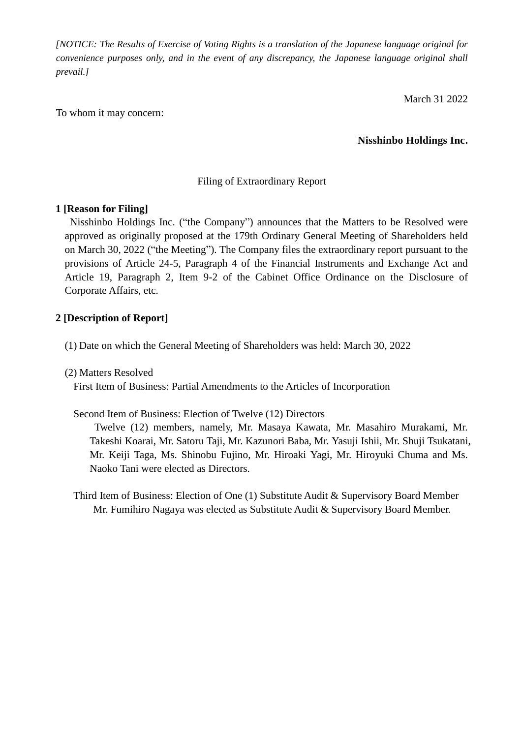*[NOTICE: The Results of Exercise of Voting Rights is a translation of the Japanese language original for convenience purposes only, and in the event of any discrepancy, the Japanese language original shall prevail.]*

March 31 2022

To whom it may concern:

**Nisshinbo Holdings Inc.**

## Filing of Extraordinary Report

## **1 [Reason for Filing]**

Nisshinbo Holdings Inc. ("the Company") announces that the Matters to be Resolved were approved as originally proposed at the 179th Ordinary General Meeting of Shareholders held on March 30, 2022 ("the Meeting"). The Company files the extraordinary report pursuant to the provisions of Article 24-5, Paragraph 4 of the Financial Instruments and Exchange Act and Article 19, Paragraph 2, Item 9-2 of the Cabinet Office Ordinance on the Disclosure of Corporate Affairs, etc.

## **2 [Description of Report]**

- (1) Date on which the General Meeting of Shareholders was held: March 30, 2022
- (2) Matters Resolved

First Item of Business: Partial Amendments to the Articles of Incorporation

Second Item of Business: Election of Twelve (12) Directors

Twelve (12) members, namely, Mr. Masaya Kawata, Mr. Masahiro Murakami, Mr. Takeshi Koarai, Mr. Satoru Taji, Mr. Kazunori Baba, Mr. Yasuji Ishii, Mr. Shuji Tsukatani, Mr. Keiji Taga, Ms. Shinobu Fujino, Mr. Hiroaki Yagi, Mr. Hiroyuki Chuma and Ms. Naoko Tani were elected as Directors.

Third Item of Business: Election of One (1) Substitute Audit & Supervisory Board Member Mr. Fumihiro Nagaya was elected as Substitute Audit & Supervisory Board Member.